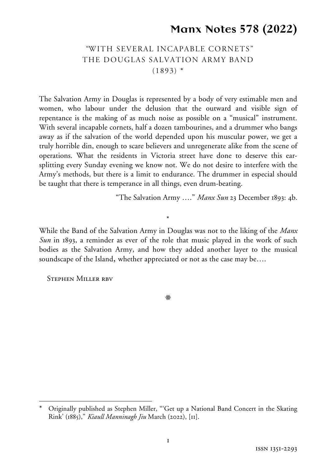## **Manx Notes 578 (2022)**

## "With several incapable cornets" The Douglas Salvation Army Band  $(1893)$  \*

The Salvation Army in Douglas is represented by a body of very estimable men and women, who labour under the delusion that the outward and visible sign of repentance is the making of as much noise as possible on a "musical" instrument. With several incapable cornets, half a dozen tambourines, and a drummer who bangs away as if the salvation of the world depended upon his muscular power, we get a truly horrible din, enough to scare believers and unregenerate alike from the scene of operations. What the residents in Victoria street have done to deserve this earsplitting every Sunday evening we know not. We do not desire to interfere with the Army's methods, but there is a limit to endurance. The drummer in especial should be taught that there is temperance in all things, even drum-beating.

"The Salvation Army …." *Manx Sun* 23 December 1893: 4b.

While the Band of the Salvation Army in Douglas was not to the liking of the *Manx Sun* in 1893, a reminder as ever of the role that music played in the work of such bodies as the Salvation Army, and how they added another layer to the musical soundscape of the Island, whether appreciated or not as the case may be....

\*

Stephen Miller rbv

 $\frac{\partial \mathcal{L}}{\partial \mathcal{L}}$ 

<sup>1</sup> Originally published as Stephen Miller, "'Get up a National Band Concert in the Skating Rink' (1885)," *Kiaull Manninagh Jiu* March (2022), [11].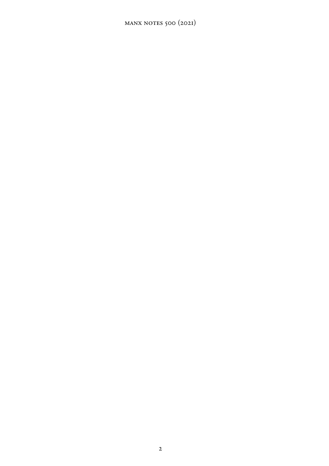## manx notes 500 (2021)